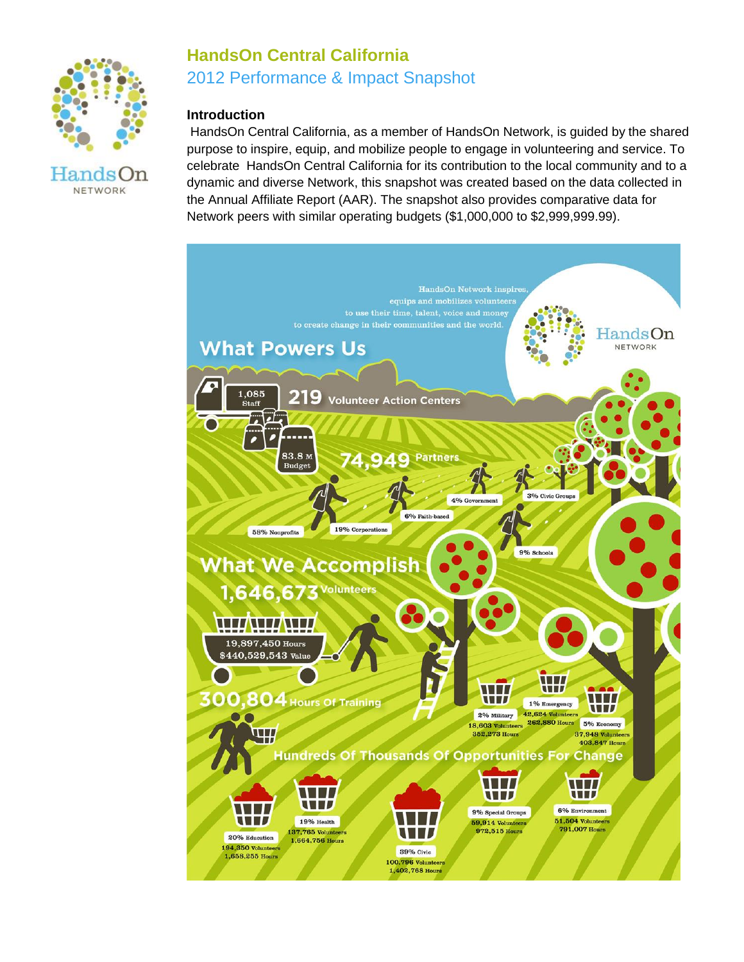

# **HandsOn Central California** 2012 Performance & Impact Snapshot

# **Introduction**

HandsOn Central California, as a member of HandsOn Network, is guided by the shared purpose to inspire, equip, and mobilize people to engage in volunteering and service. To celebrate HandsOn Central California for its contribution to the local community and to a dynamic and diverse Network, this snapshot was created based on the data collected in the Annual Affiliate Report (AAR). The snapshot also provides comparative data for Network peers with similar operating budgets (\$1,000,000 to \$2,999,999.99).